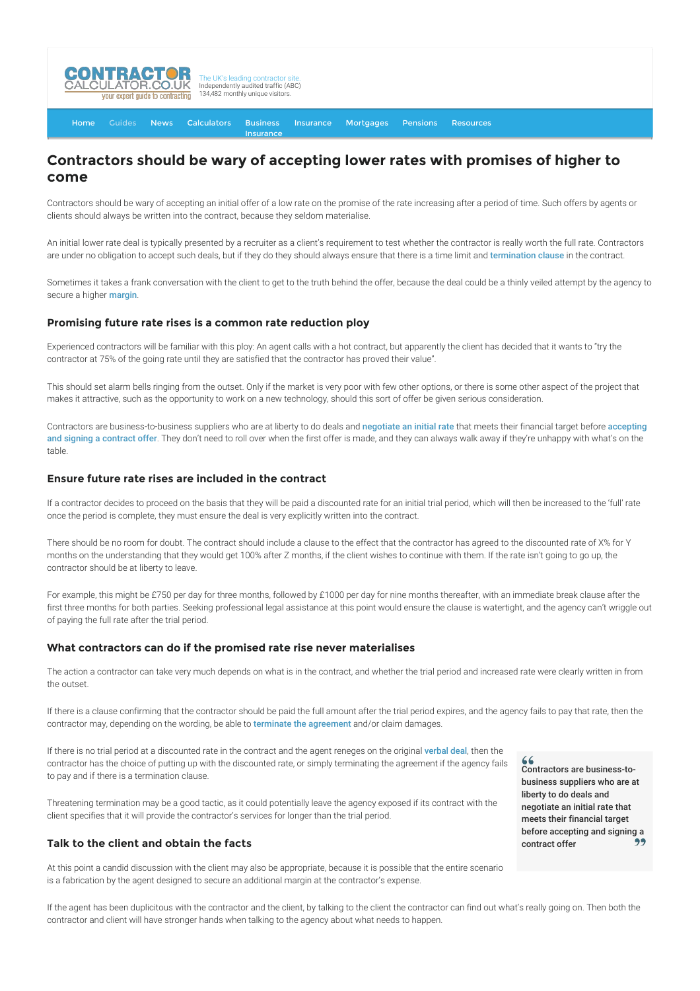

[Home](http://www.contractorcalculator.co.uk/) [Guides](http://www.contractorcalculator.co.uk/Articles.aspx) [News](http://www.contractorcalculator.co.uk/Contractor_News.aspx) [Calculators](http://www.contractorcalculator.co.uk/Calculators.aspx) Business [Insurance](http://www.contractorcalculator.co.uk/Contractor_Insurances.aspx) [Insurance](http://www.contractorcalculator.co.uk/Insurance.aspx) [Mortgages](http://www.contractorcalculator.co.uk/Contractor_Mortgages.aspx) [Pensions](http://www.contractorcalculator.co.uk/Contractor_Pensions.aspx) [Resources](http://www.contractorcalculator.co.uk/Contractor_Resources.aspx)

# **Contractors should be wary of accepting lower rates with promises of higher to come**

Contractors should be wary of accepting an initial offer of a low rate on the promise of the rate increasing after a period of time. Such offers by agents or clients should always be written into the contract, because they seldom materialise.

An initial lower rate deal is typically presented by a recruiter as a client's requirement to test whether the contractor is really worth the full rate. Contractors are under no obligation to accept such deals, but if they do they should always ensure that there is a time limit and [termination clause](http://www.contractorcalculator.co.uk/contractor_terminates_contract.aspx) in the contract.

Sometimes it takes a frank conversation with the client to get to the truth behind the offer, because the deal could be a thinly veiled attempt by the agency to secure a higher [margin](http://www.contractorcalculator.co.uk/contractor_agency_margin.aspx).

#### **Promising future rate rises is a common rate reduction ploy**

Experienced contractors will be familiar with this ploy: An agent calls with a hot contract, but apparently the client has decided that it wants to "try the contractor at 75% of the going rate until they are satisfied that the contractor has proved their value".

This should set alarm bells ringing from the outset. Only if the market is very poor with few other options, or there is some other aspect of the project that makes it attractive, such as the opportunity to work on a new technology, should this sort of offer be given serious consideration.

Contractors are business-to-business suppliers who are at liberty to do deals and [negotiate an initial rate](http://www.contractorcalculator.co.uk/negotiating_contract_rate.aspx) that meets their financial target before accepting and signing a contract offer[. They don't need to roll over when the first offer is made, and they can always walk away if they're unhappy with what's on the](http://www.contractorcalculator.co.uk/accepting_signing_contract_offer.aspx) table.

#### **Ensure future rate rises are included in the contract**

If a contractor decides to proceed on the basis that they will be paid a discounted rate for an initial trial period, which will then be increased to the 'full' rate once the period is complete, they must ensure the deal is very explicitly written into the contract.

There should be no room for doubt. The contract should include a clause to the effect that the contractor has agreed to the discounted rate of X% for Y months on the understanding that they would get 100% after Z months, if the client wishes to continue with them. If the rate isn't going to go up, the contractor should be at liberty to leave.

For example, this might be £750 per day for three months, followed by £1000 per day for nine months thereafter, with an immediate break clause after the first three months for both parties. Seeking professional legal assistance at this point would ensure the clause is watertight, and the agency can't wriggle out of paying the full rate after the trial period.

### **What contractors can do if the promised rate rise never materialises**

The action a contractor can take very much depends on what is in the contract, and whether the trial period and increased rate were clearly written in from the outset.

If there is a clause confirming that the contractor should be paid the full amount after the trial period expires, and the agency fails to pay that rate, then the contractor may, depending on the wording, be able to [terminate the agreement](http://www.contractorcalculator.co.uk/contractor_terminates_contract.aspx) and/or claim damages.

If there is no trial period at a discounted rate in the contract and the agent reneges on the original [verbal deal](http://www.contractorcalculator.co.uk/contractors_verbal_agreements.aspx), then the contractor has the choice of putting up with the discounted rate, or simply terminating the agreement if the agency fails to pay and if there is a termination clause.

Threatening termination may be a good tactic, as it could potentially leave the agency exposed if its contract with the client specifies that it will provide the contractor's services for longer than the trial period.

## **Talk to the client and obtain the facts**

At this point a candid discussion with the client may also be appropriate, because it is possible that the entire scenario is a fabrication by the agent designed to secure an additional margin at the contractor's expense.

Contractors are business-tobusiness suppliers who are at liberty to do deals and negotiate an initial rate that meets their financial target before accepting and signing a<br>contract offer contract offer

If the agent has been duplicitous with the contractor and the client, by talking to the client the contractor can find out what's really going on. Then both the contractor and client will have stronger hands when talking to the agency about what needs to happen.